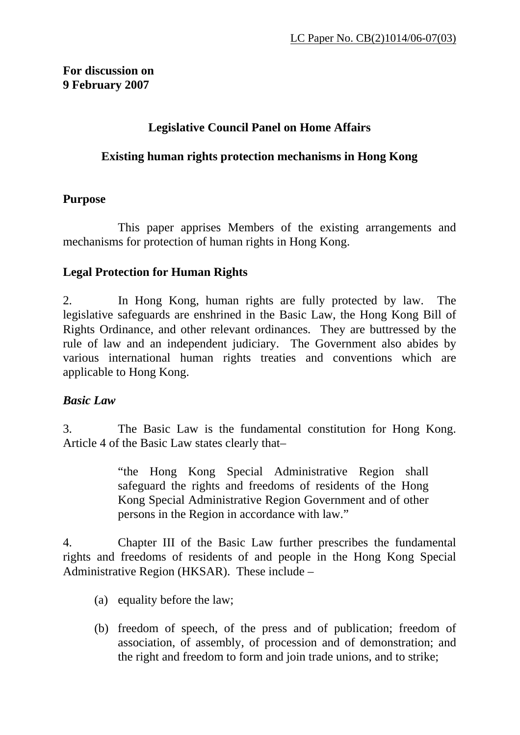#### **For discussion on 9 February 2007**

## **Legislative Council Panel on Home Affairs**

#### **Existing human rights protection mechanisms in Hong Kong**

#### **Purpose**

 This paper apprises Members of the existing arrangements and mechanisms for protection of human rights in Hong Kong.

## **Legal Protection for Human Rights**

2. In Hong Kong, human rights are fully protected by law. The legislative safeguards are enshrined in the Basic Law, the Hong Kong Bill of Rights Ordinance, and other relevant ordinances. They are buttressed by the rule of law and an independent judiciary. The Government also abides by various international human rights treaties and conventions which are applicable to Hong Kong.

## *Basic Law*

3. The Basic Law is the fundamental constitution for Hong Kong. Article 4 of the Basic Law states clearly that–

> "the Hong Kong Special Administrative Region shall safeguard the rights and freedoms of residents of the Hong Kong Special Administrative Region Government and of other persons in the Region in accordance with law."

4. Chapter III of the Basic Law further prescribes the fundamental rights and freedoms of residents of and people in the Hong Kong Special Administrative Region (HKSAR). These include –

- (a) equality before the law;
- (b) freedom of speech, of the press and of publication; freedom of association, of assembly, of procession and of demonstration; and the right and freedom to form and join trade unions, and to strike;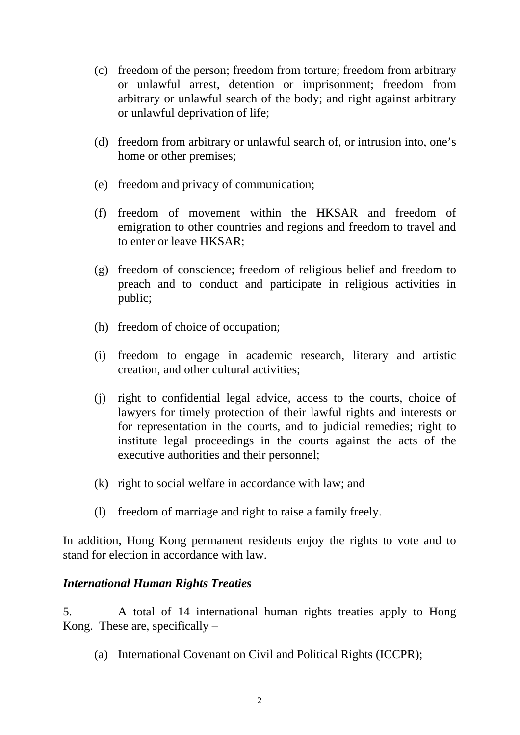- (c) freedom of the person; freedom from torture; freedom from arbitrary or unlawful arrest, detention or imprisonment; freedom from arbitrary or unlawful search of the body; and right against arbitrary or unlawful deprivation of life;
- (d) freedom from arbitrary or unlawful search of, or intrusion into, one's home or other premises;
- (e) freedom and privacy of communication;
- (f) freedom of movement within the HKSAR and freedom of emigration to other countries and regions and freedom to travel and to enter or leave HKSAR;
- (g) freedom of conscience; freedom of religious belief and freedom to preach and to conduct and participate in religious activities in public;
- (h) freedom of choice of occupation;
- (i) freedom to engage in academic research, literary and artistic creation, and other cultural activities;
- (j) right to confidential legal advice, access to the courts, choice of lawyers for timely protection of their lawful rights and interests or for representation in the courts, and to judicial remedies; right to institute legal proceedings in the courts against the acts of the executive authorities and their personnel;
- (k) right to social welfare in accordance with law; and
- (l) freedom of marriage and right to raise a family freely.

In addition, Hong Kong permanent residents enjoy the rights to vote and to stand for election in accordance with law.

#### *International Human Rights Treaties*

5. A total of 14 international human rights treaties apply to Hong Kong. These are, specifically  $-$ 

(a) International Covenant on Civil and Political Rights (ICCPR);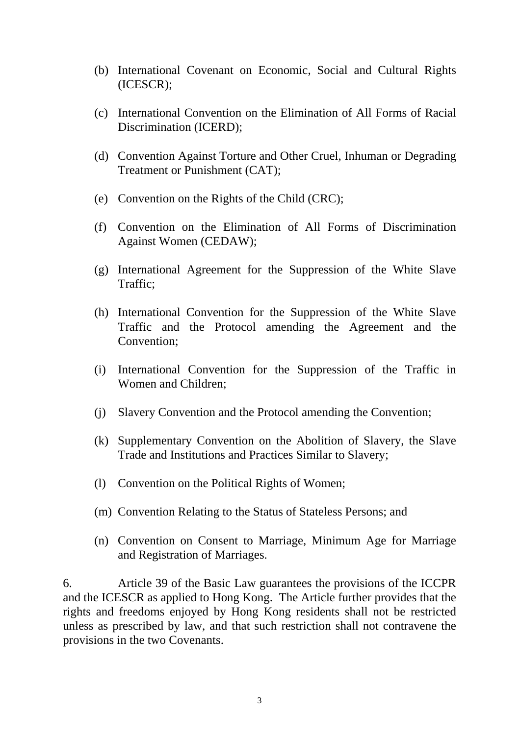- (b) International Covenant on Economic, Social and Cultural Rights (ICESCR);
- (c) International Convention on the Elimination of All Forms of Racial Discrimination (ICERD);
- (d) Convention Against Torture and Other Cruel, Inhuman or Degrading Treatment or Punishment (CAT);
- (e) Convention on the Rights of the Child (CRC);
- (f) Convention on the Elimination of All Forms of Discrimination Against Women (CEDAW);
- (g) International Agreement for the Suppression of the White Slave Traffic;
- (h) International Convention for the Suppression of the White Slave Traffic and the Protocol amending the Agreement and the Convention;
- (i) International Convention for the Suppression of the Traffic in Women and Children;
- (j) Slavery Convention and the Protocol amending the Convention;
- (k) Supplementary Convention on the Abolition of Slavery, the Slave Trade and Institutions and Practices Similar to Slavery;
- (l) Convention on the Political Rights of Women;
- (m) Convention Relating to the Status of Stateless Persons; and
- (n) Convention on Consent to Marriage, Minimum Age for Marriage and Registration of Marriages.

6. Article 39 of the Basic Law guarantees the provisions of the ICCPR and the ICESCR as applied to Hong Kong. The Article further provides that the rights and freedoms enjoyed by Hong Kong residents shall not be restricted unless as prescribed by law, and that such restriction shall not contravene the provisions in the two Covenants.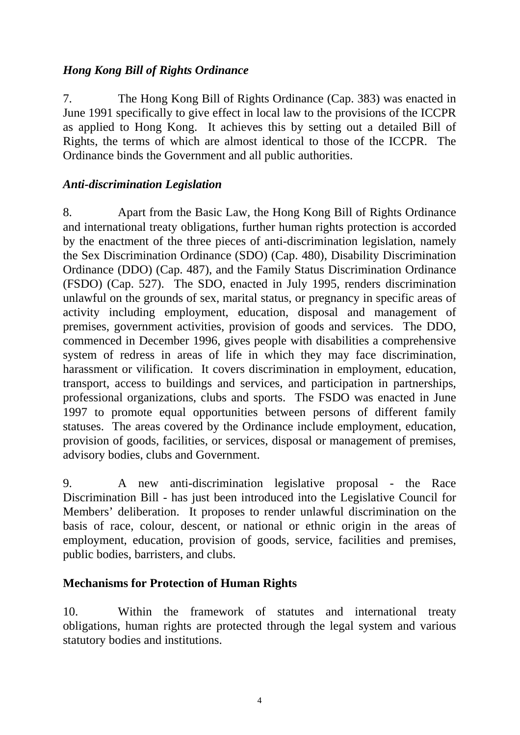## *Hong Kong Bill of Rights Ordinance*

7. The Hong Kong Bill of Rights Ordinance (Cap. 383) was enacted in June 1991 specifically to give effect in local law to the provisions of the ICCPR as applied to Hong Kong. It achieves this by setting out a detailed Bill of Rights, the terms of which are almost identical to those of the ICCPR. The Ordinance binds the Government and all public authorities.

#### *Anti-discrimination Legislation*

8. Apart from the Basic Law, the Hong Kong Bill of Rights Ordinance and international treaty obligations, further human rights protection is accorded by the enactment of the three pieces of anti-discrimination legislation, namely the Sex Discrimination Ordinance (SDO) (Cap. 480), Disability Discrimination Ordinance (DDO) (Cap. 487), and the Family Status Discrimination Ordinance (FSDO) (Cap. 527). The SDO, enacted in July 1995, renders discrimination unlawful on the grounds of sex, marital status, or pregnancy in specific areas of activity including employment, education, disposal and management of premises, government activities, provision of goods and services. The DDO, commenced in December 1996, gives people with disabilities a comprehensive system of redress in areas of life in which they may face discrimination, harassment or vilification. It covers discrimination in employment, education, transport, access to buildings and services, and participation in partnerships, professional organizations, clubs and sports. The FSDO was enacted in June 1997 to promote equal opportunities between persons of different family statuses. The areas covered by the Ordinance include employment, education, provision of goods, facilities, or services, disposal or management of premises, advisory bodies, clubs and Government.

9. A new anti-discrimination legislative proposal - the Race Discrimination Bill - has just been introduced into the Legislative Council for Members' deliberation. It proposes to render unlawful discrimination on the basis of race, colour, descent, or national or ethnic origin in the areas of employment, education, provision of goods, service, facilities and premises, public bodies, barristers, and clubs.

## **Mechanisms for Protection of Human Rights**

10. Within the framework of statutes and international treaty obligations, human rights are protected through the legal system and various statutory bodies and institutions.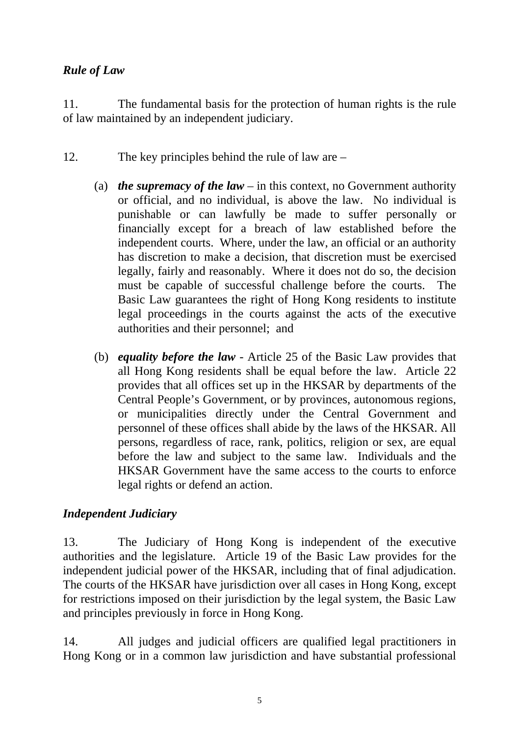## *Rule of Law*

11. The fundamental basis for the protection of human rights is the rule of law maintained by an independent judiciary.

- 12. The key principles behind the rule of law are
	- (a) *the supremacy of the law* in this context, no Government authority or official, and no individual, is above the law. No individual is punishable or can lawfully be made to suffer personally or financially except for a breach of law established before the independent courts. Where, under the law, an official or an authority has discretion to make a decision, that discretion must be exercised legally, fairly and reasonably. Where it does not do so, the decision must be capable of successful challenge before the courts. The Basic Law guarantees the right of Hong Kong residents to institute legal proceedings in the courts against the acts of the executive authorities and their personnel; and
	- (b) *equality before the law* Article 25 of the Basic Law provides that all Hong Kong residents shall be equal before the law. Article 22 provides that all offices set up in the HKSAR by departments of the Central People's Government, or by provinces, autonomous regions, or municipalities directly under the Central Government and personnel of these offices shall abide by the laws of the HKSAR. All persons, regardless of race, rank, politics, religion or sex, are equal before the law and subject to the same law. Individuals and the HKSAR Government have the same access to the courts to enforce legal rights or defend an action.

# *Independent Judiciary*

13. The Judiciary of Hong Kong is independent of the executive authorities and the legislature. Article 19 of the Basic Law provides for the independent judicial power of the HKSAR, including that of final adjudication. The courts of the HKSAR have jurisdiction over all cases in Hong Kong, except for restrictions imposed on their jurisdiction by the legal system, the Basic Law and principles previously in force in Hong Kong.

14. All judges and judicial officers are qualified legal practitioners in Hong Kong or in a common law jurisdiction and have substantial professional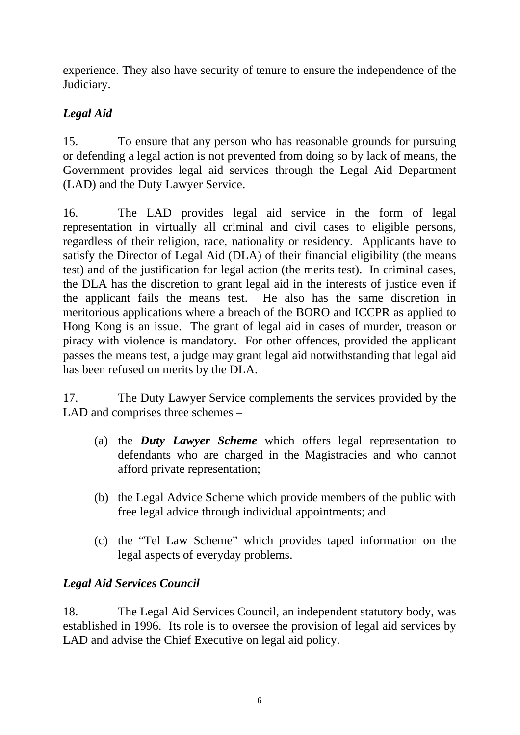experience. They also have security of tenure to ensure the independence of the Judiciary.

# *Legal Aid*

15. To ensure that any person who has reasonable grounds for pursuing or defending a legal action is not prevented from doing so by lack of means, the Government provides legal aid services through the Legal Aid Department (LAD) and the Duty Lawyer Service.

16. The LAD provides legal aid service in the form of legal representation in virtually all criminal and civil cases to eligible persons, regardless of their religion, race, nationality or residency. Applicants have to satisfy the Director of Legal Aid (DLA) of their financial eligibility (the means test) and of the justification for legal action (the merits test). In criminal cases, the DLA has the discretion to grant legal aid in the interests of justice even if the applicant fails the means test. He also has the same discretion in meritorious applications where a breach of the BORO and ICCPR as applied to Hong Kong is an issue. The grant of legal aid in cases of murder, treason or piracy with violence is mandatory. For other offences, provided the applicant passes the means test, a judge may grant legal aid notwithstanding that legal aid has been refused on merits by the DLA.

17. The Duty Lawyer Service complements the services provided by the LAD and comprises three schemes –

- (a) the *Duty Lawyer Scheme* which offers legal representation to defendants who are charged in the Magistracies and who cannot afford private representation;
- (b) the Legal Advice Scheme which provide members of the public with free legal advice through individual appointments; and
- (c) the "Tel Law Scheme" which provides taped information on the legal aspects of everyday problems.

# *Legal Aid Services Council*

18. The Legal Aid Services Council, an independent statutory body, was established in 1996. Its role is to oversee the provision of legal aid services by LAD and advise the Chief Executive on legal aid policy.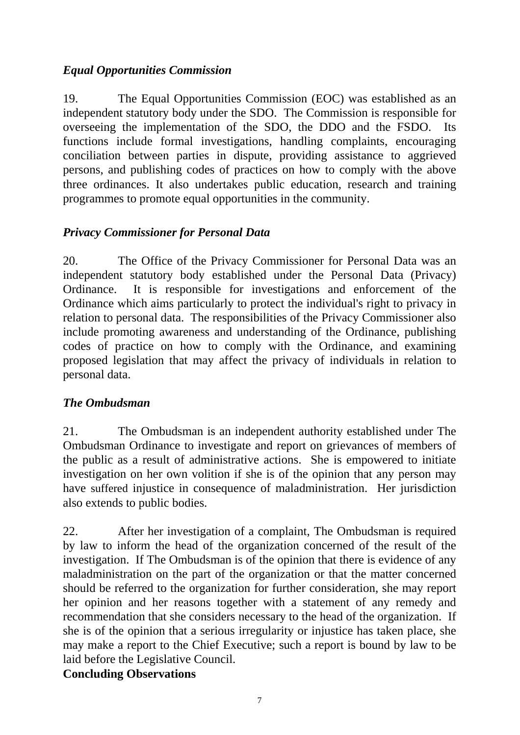## *Equal Opportunities Commission*

19. The Equal Opportunities Commission (EOC) was established as an independent statutory body under the SDO. The Commission is responsible for overseeing the implementation of the SDO, the DDO and the FSDO. Its functions include formal investigations, handling complaints, encouraging conciliation between parties in dispute, providing assistance to aggrieved persons, and publishing codes of practices on how to comply with the above three ordinances. It also undertakes public education, research and training programmes to promote equal opportunities in the community.

## *Privacy Commissioner for Personal Data*

20. The Office of the Privacy Commissioner for Personal Data was an independent statutory body established under the Personal Data (Privacy) Ordinance. It is responsible for investigations and enforcement of the Ordinance which aims particularly to protect the individual's right to privacy in relation to personal data. The responsibilities of the Privacy Commissioner also include promoting awareness and understanding of the Ordinance, publishing codes of practice on how to comply with the Ordinance, and examining proposed legislation that may affect the privacy of individuals in relation to personal data.

#### *The Ombudsman*

21. The Ombudsman is an independent authority established under The Ombudsman Ordinance to investigate and report on grievances of members of the public as a result of administrative actions. She is empowered to initiate investigation on her own volition if she is of the opinion that any person may have suffered injustice in consequence of maladministration. Her jurisdiction also extends to public bodies.

22. After her investigation of a complaint, The Ombudsman is required by law to inform the head of the organization concerned of the result of the investigation. If The Ombudsman is of the opinion that there is evidence of any maladministration on the part of the organization or that the matter concerned should be referred to the organization for further consideration, she may report her opinion and her reasons together with a statement of any remedy and recommendation that she considers necessary to the head of the organization. If she is of the opinion that a serious irregularity or injustice has taken place, she may make a report to the Chief Executive; such a report is bound by law to be laid before the Legislative Council.

## **Concluding Observations**